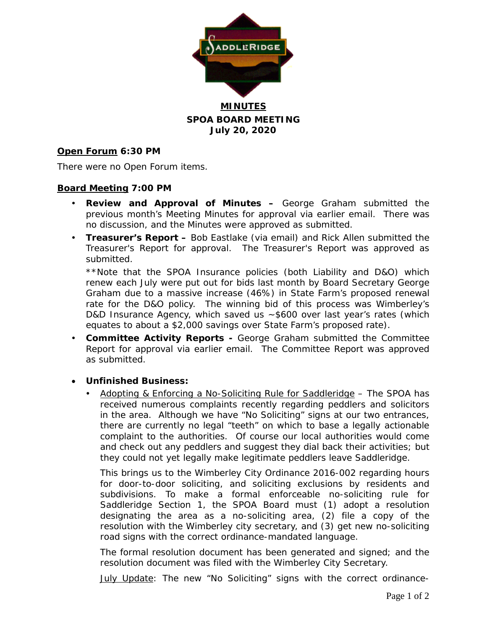

**MINUTES SPOA BOARD MEETING July 20, 2020**

### **Open Forum 6:30 PM**

There were no Open Forum items.

#### **Board Meeting 7:00 PM**

- **Review and Approval of Minutes –** George Graham submitted the previous month's Meeting Minutes for approval via earlier email. There was no discussion, and the Minutes were approved as submitted.
- **Treasurer's Report –** Bob Eastlake (via email) and Rick Allen submitted the Treasurer's Report for approval. The Treasurer's Report was approved as submitted.

\*\*Note that the SPOA Insurance policies (both Liability and D&O) which renew each July were put out for bids last month by Board Secretary George Graham due to a massive increase (46%) in State Farm's proposed renewal rate for the D&O policy. The winning bid of this process was Wimberley's D&D Insurance Agency, which saved us ~\$600 over last year's rates (which equates to about a \$2,000 savings over State Farm's proposed rate).

- **Committee Activity Reports -** George Graham submitted the Committee Report for approval via earlier email. The Committee Report was approved as submitted.
- **Unfinished Business:**
	- Adopting & Enforcing a No-Soliciting Rule for Saddleridge The SPOA has received numerous complaints recently regarding peddlers and solicitors in the area. Although we have "No Soliciting" signs at our two entrances, there are currently no legal "teeth" on which to base a legally actionable complaint to the authorities. Of course our local authorities would come and check out any peddlers and suggest they dial back their activities; but they could not yet legally make legitimate peddlers leave Saddleridge.

This brings us to the Wimberley City Ordinance 2016-002 regarding hours for door-to-door soliciting, and soliciting exclusions by residents and subdivisions. To make a formal enforceable no-soliciting rule for Saddleridge Section 1, the SPOA Board must (1) adopt a resolution designating the area as a no-soliciting area, (2) file a copy of the resolution with the Wimberley city secretary, and (3) get new no-soliciting road signs with the correct ordinance-mandated language.

The formal resolution document has been generated and signed; and the resolution document was filed with the Wimberley City Secretary.

July Update: The new "No Soliciting" signs with the correct ordinance-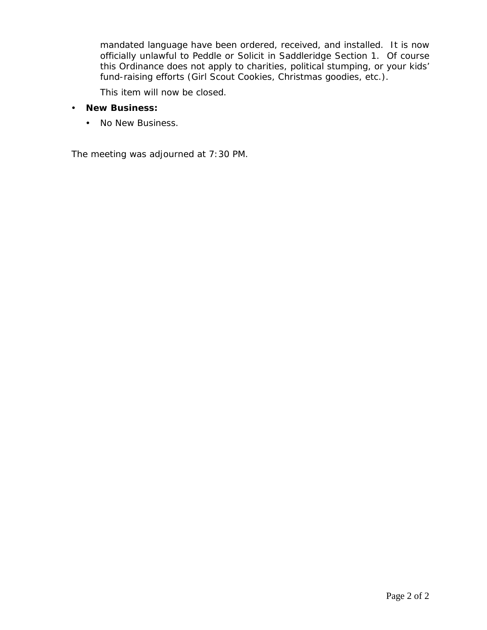mandated language have been ordered, received, and installed. It is now officially unlawful to Peddle or Solicit in Saddleridge Section 1. Of course this Ordinance does not apply to charities, political stumping, or your kids' fund-raising efforts (Girl Scout Cookies, Christmas goodies, etc.).

This item will now be closed.

- **New Business:**
	- No New Business.

The meeting was adjourned at 7:30 PM.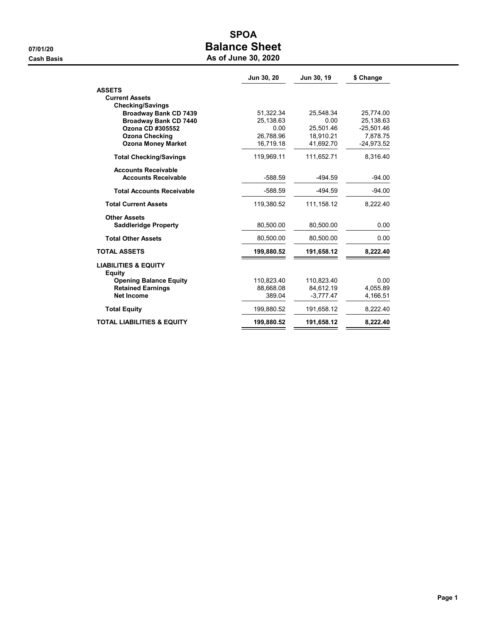# SPOA 07/01/20 **Balance Sheet**

| As of June 30, 2020 |  |  |  |  |  |
|---------------------|--|--|--|--|--|
|---------------------|--|--|--|--|--|

|                                                  | Jun 30, 20 | Jun 30, 19  | \$ Change    |
|--------------------------------------------------|------------|-------------|--------------|
| <b>ASSETS</b>                                    |            |             |              |
| <b>Current Assets</b>                            |            |             |              |
| <b>Checking/Savings</b>                          |            |             |              |
| <b>Broadway Bank CD 7439</b>                     | 51,322.34  | 25,548.34   | 25,774.00    |
| <b>Broadway Bank CD 7440</b>                     | 25,138.63  | 0.00        | 25,138.63    |
| Ozona CD #305552                                 | 0.00       | 25,501.46   | $-25,501.46$ |
| <b>Ozona Checking</b>                            | 26,788.96  | 18,910.21   | 7,878.75     |
| <b>Ozona Money Market</b>                        | 16,719.18  | 41,692.70   | $-24,973.52$ |
| <b>Total Checking/Savings</b>                    | 119,969.11 | 111,652.71  | 8,316.40     |
| <b>Accounts Receivable</b>                       |            |             |              |
| <b>Accounts Receivable</b>                       | $-588.59$  | $-494.59$   | $-94.00$     |
| <b>Total Accounts Receivable</b>                 | $-588.59$  | $-494.59$   | $-94.00$     |
| <b>Total Current Assets</b>                      | 119,380.52 | 111, 158.12 | 8,222.40     |
| <b>Other Assets</b>                              |            |             |              |
| <b>Saddleridge Property</b>                      | 80,500.00  | 80,500.00   | 0.00         |
| <b>Total Other Assets</b>                        | 80,500.00  | 80,500.00   | 0.00         |
| <b>TOTAL ASSETS</b>                              | 199,880.52 | 191,658.12  | 8,222.40     |
| <b>LIABILITIES &amp; EQUITY</b><br><b>Equity</b> |            |             |              |
| <b>Opening Balance Equity</b>                    | 110,823.40 | 110,823.40  | 0.00         |
| <b>Retained Earnings</b>                         | 88,668.08  | 84,612.19   | 4,055.89     |
| Net Income                                       | 389.04     | $-3,777.47$ | 4,166.51     |
| <b>Total Equity</b>                              | 199,880.52 | 191,658.12  | 8,222.40     |
| <b>TOTAL LIABILITIES &amp; EQUITY</b>            | 199,880.52 | 191,658.12  | 8,222.40     |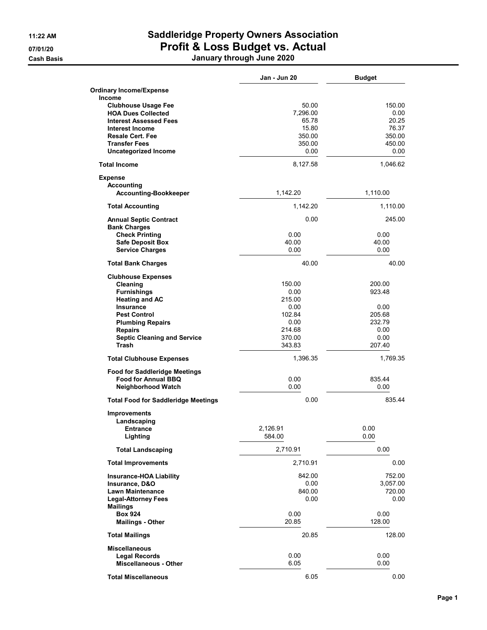# 11:22 AM Saddleridge Property Owners Association 07/01/20 **Profit & Loss Budget vs. Actual**

Cash Basis January through June 2020

|                                                      | Jan - Jun 20     | <b>Budget</b>  |
|------------------------------------------------------|------------------|----------------|
| <b>Ordinary Income/Expense</b>                       |                  |                |
| <b>Income</b>                                        |                  |                |
| <b>Clubhouse Usage Fee</b>                           | 50.00            | 150.00         |
| <b>HOA Dues Collected</b>                            | 7,296.00         | 0.00           |
| <b>Interest Assessed Fees</b>                        | 65.78            | 20.25          |
| Interest Income                                      | 15.80            | 76.37          |
| <b>Resale Cert. Fee</b>                              | 350.00           | 350.00         |
| <b>Transfer Fees</b><br><b>Uncategorized Income</b>  | 350.00<br>0.00   | 450.00<br>0.00 |
|                                                      |                  |                |
| <b>Total Income</b>                                  | 8,127.58         | 1,046.62       |
| <b>Expense</b>                                       |                  |                |
| <b>Accounting</b><br><b>Accounting-Bookkeeper</b>    | 1,142.20         | 1,110.00       |
|                                                      |                  |                |
| <b>Total Accounting</b>                              | 1,142.20         | 1,110.00       |
| <b>Annual Septic Contract</b><br><b>Bank Charges</b> | 0.00             | 245.00         |
| <b>Check Printing</b>                                | 0.00             | 0.00           |
| <b>Safe Deposit Box</b>                              | 40.00            | 40.00          |
| <b>Service Charges</b>                               | 0.00             | 0.00           |
| <b>Total Bank Charges</b>                            | 40.00            | 40.00          |
| <b>Clubhouse Expenses</b>                            |                  |                |
| Cleaning                                             | 150.00           | 200.00         |
| <b>Furnishings</b>                                   | 0.00             | 923.48         |
| <b>Heating and AC</b>                                | 215.00           |                |
| <b>Insurance</b>                                     | 0.00             | 0.00           |
| <b>Pest Control</b>                                  | 102.84           | 205.68         |
| <b>Plumbing Repairs</b>                              | 0.00             | 232.79         |
| <b>Repairs</b>                                       | 214.68<br>370.00 | 0.00<br>0.00   |
| <b>Septic Cleaning and Service</b><br><b>Trash</b>   | 343.83           | 207.40         |
| <b>Total Clubhouse Expenses</b>                      | 1,396.35         | 1,769.35       |
| <b>Food for Saddleridge Meetings</b>                 |                  |                |
| <b>Food for Annual BBQ</b>                           | 0.00             | 835.44         |
| Neighborhood Watch                                   | 0.00             | 0.00           |
| <b>Total Food for Saddleridge Meetings</b>           | 0.00             | 835.44         |
| <b>Improvements</b>                                  |                  |                |
| Landscaping                                          |                  |                |
| <b>Entrance</b>                                      | 2,126.91         | 0.00           |
| Lighting                                             | 584.00           | 0.00           |
| <b>Total Landscaping</b>                             | 2,710.91         | 0.00           |
| <b>Total Improvements</b>                            | 2,710.91         | 0.00           |
| <b>Insurance-HOA Liability</b>                       | 842.00           | 752.00         |
| Insurance, D&O                                       | 0.00             | 3,057.00       |
| <b>Lawn Maintenance</b>                              | 840.00           | 720.00         |
| <b>Legal-Attorney Fees</b>                           | 0.00             | 0.00           |
| <b>Mailings</b>                                      |                  |                |
| <b>Box 924</b>                                       | 0.00             | 0.00           |
| <b>Mailings - Other</b>                              | 20.85            | 128.00         |
| <b>Total Mailings</b>                                | 20.85            | 128.00         |
| <b>Miscellaneous</b>                                 |                  |                |
| <b>Legal Records</b>                                 | 0.00             | 0.00           |
| <b>Miscellaneous - Other</b>                         | 6.05             | 0.00           |
| <b>Total Miscellaneous</b>                           | 6.05             | 0.00           |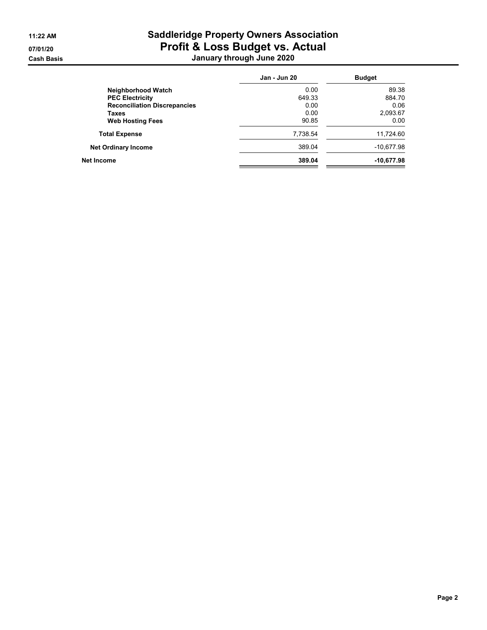# 11:22 AM Saddleridge Property Owners Association 07/01/20 **Profit & Loss Budget vs. Actual** Cash Basis January through June 2020

|                                     | Jan - Jun 20 | <b>Budget</b> |
|-------------------------------------|--------------|---------------|
| Neighborhood Watch                  | 0.00         | 89.38         |
| <b>PEC Electricity</b>              | 649.33       | 884.70        |
| <b>Reconciliation Discrepancies</b> | 0.00         | 0.06          |
| Taxes                               | 0.00         | 2,093.67      |
| <b>Web Hosting Fees</b>             | 90.85        | 0.00          |
| <b>Total Expense</b>                | 7,738.54     | 11,724.60     |
| <b>Net Ordinary Income</b>          | 389.04       | $-10,677.98$  |
| Net Income                          | 389.04       | $-10,677.98$  |